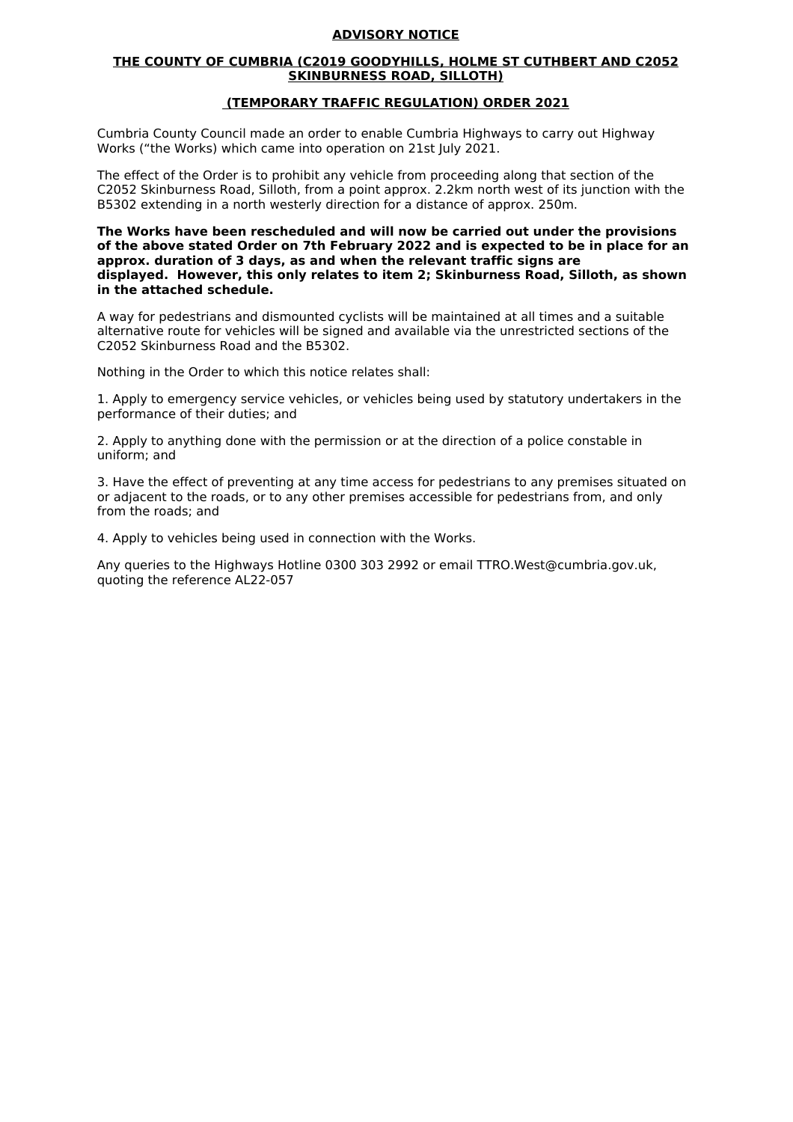## **ADVISORY NOTICE**

## **THE COUNTY OF CUMBRIA (C2019 GOODYHILLS, HOLME ST CUTHBERT AND C2052 SKINBURNESS ROAD, SILLOTH)**

## **(TEMPORARY TRAFFIC REGULATION) ORDER 2021**

Cumbria County Council made an order to enable Cumbria Highways to carry out Highway Works ("the Works) which came into operation on 21st July 2021.

The effect of the Order is to prohibit any vehicle from proceeding along that section of the C2052 Skinburness Road, Silloth, from a point approx. 2.2km north west of its junction with the B5302 extending in a north westerly direction for a distance of approx. 250m.

**The Works have been rescheduled and will now be carried out under the provisions of the above stated Order on 7th February 2022 and is expected to be in place for an approx. duration of 3 days, as and when the relevant traffic signs are displayed. However, this only relates to item 2; Skinburness Road, Silloth, as shown in the attached schedule.**

A way for pedestrians and dismounted cyclists will be maintained at all times and a suitable alternative route for vehicles will be signed and available via the unrestricted sections of the C2052 Skinburness Road and the B5302.

Nothing in the Order to which this notice relates shall:

1. Apply to emergency service vehicles, or vehicles being used by statutory undertakers in the performance of their duties; and

2. Apply to anything done with the permission or at the direction of a police constable in uniform; and

3. Have the effect of preventing at any time access for pedestrians to any premises situated on or adjacent to the roads, or to any other premises accessible for pedestrians from, and only from the roads; and

4. Apply to vehicles being used in connection with the Works.

Any queries to the Highways Hotline 0300 303 2992 or email TTRO.West@cumbria.gov.uk, quoting the reference AL22-057